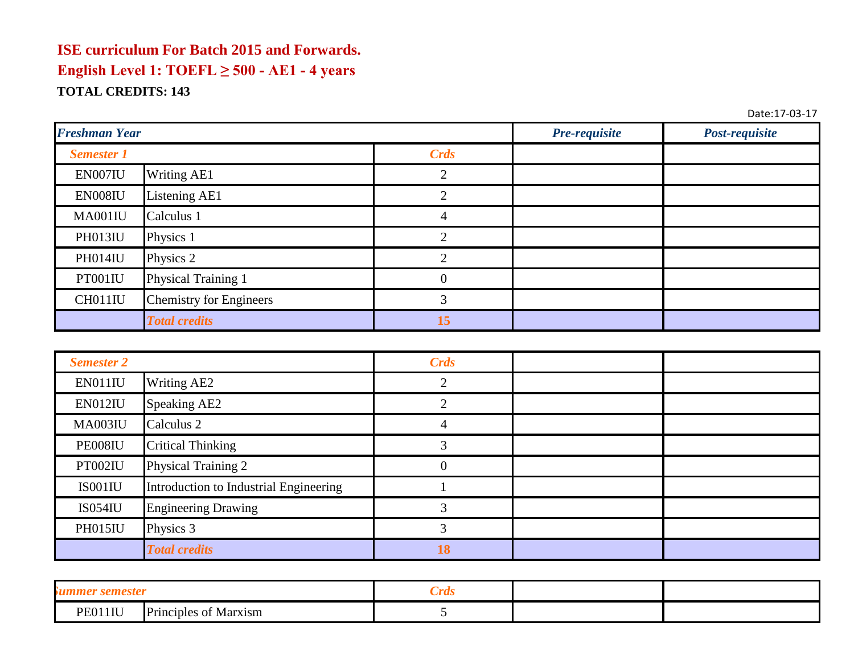| <b>Freshman Year</b> |                                | Pre-requisite | Post-requisite |  |
|----------------------|--------------------------------|---------------|----------------|--|
| <b>Semester 1</b>    |                                | Crds          |                |  |
| EN007IU              | <b>Writing AE1</b>             |               |                |  |
| EN008IU              | Listening AE1                  |               |                |  |
| MA001IU              | Calculus 1                     | 4             |                |  |
| PH013IU              | Physics 1                      |               |                |  |
| PH014IU              | Physics 2                      |               |                |  |
| PT001IU              | Physical Training 1            | 0             |                |  |
| CH011IU              | <b>Chemistry for Engineers</b> |               |                |  |
|                      | <b>Total credits</b>           | l5            |                |  |

| <b>Semester 2</b> |                                        | <b>Crds</b> |  |
|-------------------|----------------------------------------|-------------|--|
| EN011IU           | Writing AE2                            | ◠           |  |
| EN012IU           | Speaking AE2                           |             |  |
| MA003IU           | Calculus <sub>2</sub>                  |             |  |
| PE008IU           | <b>Critical Thinking</b>               |             |  |
| PT002IU           | Physical Training 2                    |             |  |
| IS001IU           | Introduction to Industrial Engineering |             |  |
| <b>IS054IU</b>    | <b>Engineering Drawing</b>             |             |  |
| PH015IU           | Physics 3                              |             |  |
|                   | <b>Total credits</b>                   | 18          |  |

| semester<br>M                       | $\mathcal{L}$ rds |  |
|-------------------------------------|-------------------|--|
| PE011IU<br>Principles<br>of Marxism |                   |  |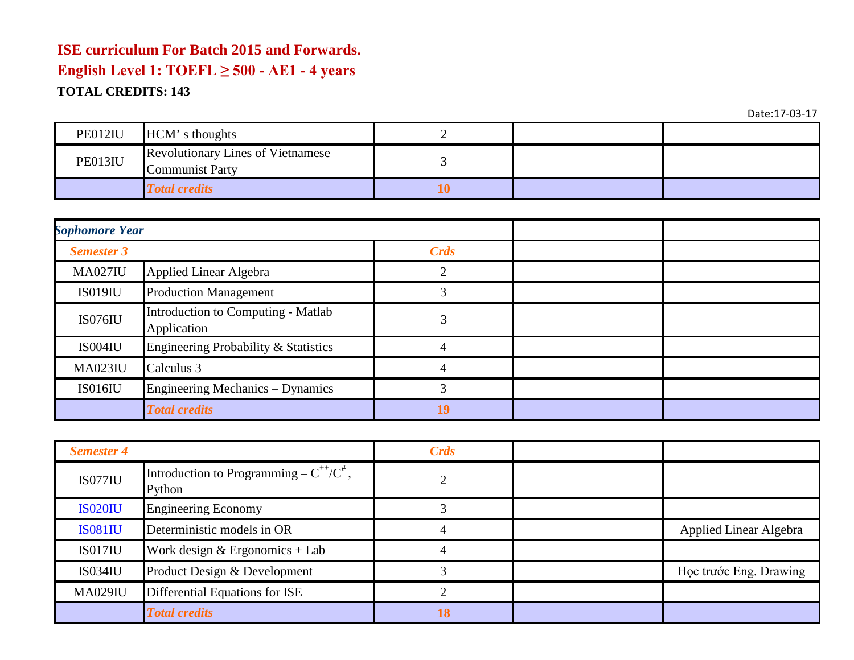| PE012IU | HCM's thoughts                                              |    |  |
|---------|-------------------------------------------------------------|----|--|
| PE013IU | <b>Revolutionary Lines of Vietnamese</b><br>Communist Party |    |  |
|         | <b>Total credits</b>                                        | .V |  |

| <b>Sophomore Year</b> |                                                   |             |  |
|-----------------------|---------------------------------------------------|-------------|--|
| <b>Semester 3</b>     |                                                   | <b>Crds</b> |  |
| <b>MA027IU</b>        | <b>Applied Linear Algebra</b>                     |             |  |
| <b>IS019IU</b>        | <b>Production Management</b>                      |             |  |
| IS076IU               | Introduction to Computing - Matlab<br>Application |             |  |
| IS004IU               | Engineering Probability & Statistics              |             |  |
| <b>MA023IU</b>        | Calculus 3                                        |             |  |
| <b>IS016IU</b>        | Engineering Mechanics – Dynamics                  |             |  |
|                       | <b>Total credits</b>                              | 19          |  |

| <b>Semester 4</b> |                                                           | <b>Crds</b> |                               |
|-------------------|-----------------------------------------------------------|-------------|-------------------------------|
| <b>IS077IU</b>    | Introduction to Programming – $C^{++}/C^{\#}$ ,<br>Python |             |                               |
| <b>IS020IU</b>    | <b>Engineering Economy</b>                                |             |                               |
| <b>IS081IU</b>    | Deterministic models in OR                                |             | <b>Applied Linear Algebra</b> |
| IS017IU           | Work design $&$ Ergonomics + Lab                          |             |                               |
| <b>IS034IU</b>    | Product Design & Development                              |             | Học trước Eng. Drawing        |
| <b>MA029IU</b>    | Differential Equations for ISE                            |             |                               |
|                   | <b>Total credits</b>                                      |             |                               |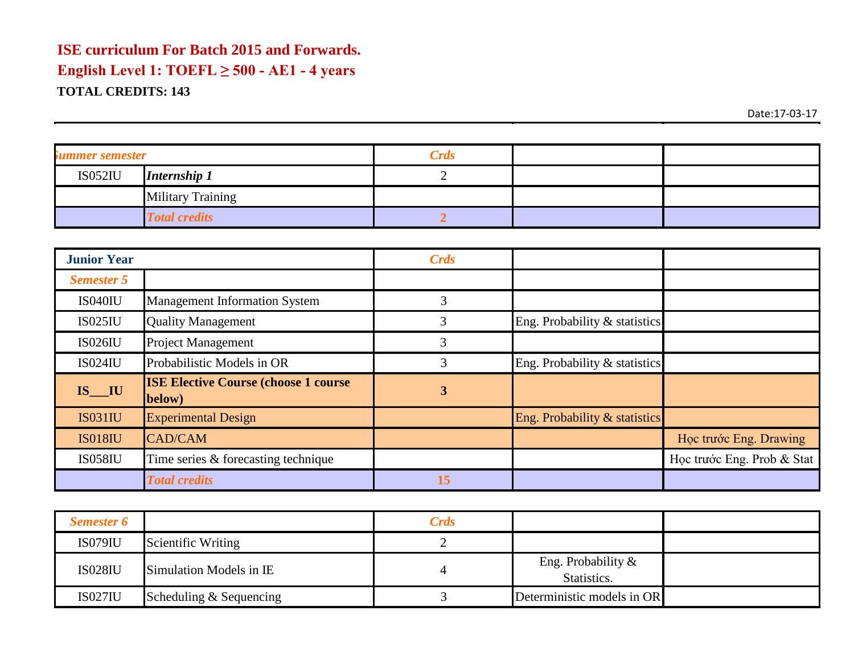| <i>Summer semester</i> |                          | <b>Crds</b> |  |
|------------------------|--------------------------|-------------|--|
| <b>IS052IU</b>         | <b>Internship 1</b>      |             |  |
|                        | <b>Military Training</b> |             |  |
|                        | <b>Total credits</b>     |             |  |

| <b>Junior Year</b> |                                                        | <b>Crds</b> |                               |                            |
|--------------------|--------------------------------------------------------|-------------|-------------------------------|----------------------------|
| <b>Semester 5</b>  |                                                        |             |                               |                            |
| <b>IS040IU</b>     | <b>Management Information System</b>                   | 3           |                               |                            |
| <b>IS025IU</b>     | <b>Quality Management</b>                              | 3           | Eng. Probability & statistics |                            |
| <b>IS026IU</b>     | <b>Project Management</b>                              | 3           |                               |                            |
| <b>IS024IU</b>     | Probabilistic Models in OR                             | 3           | Eng. Probability & statistics |                            |
| IS IU              | <b>ISE Elective Course (choose 1 course)</b><br>below) | 3           |                               |                            |
| <b>IS031IU</b>     | <b>Experimental Design</b>                             |             | Eng. Probability & statistics |                            |
| <b>IS018IU</b>     | <b>CAD/CAM</b>                                         |             |                               | Học trước Eng. Drawing     |
| <b>IS058IU</b>     | Time series & forecasting technique                    |             |                               | Học trước Eng. Prob & Stat |
|                    | <b>Total credits</b>                                   | 15          |                               |                            |

| <b>Semester 6</b> |                         | <b>Crds</b> |                                      |  |
|-------------------|-------------------------|-------------|--------------------------------------|--|
| <b>IS079IU</b>    | Scientific Writing      |             |                                      |  |
| <b>IS028IU</b>    | Simulation Models in IE |             | Eng. Probability $\&$<br>Statistics. |  |
| <b>IS027IU</b>    | Scheduling & Sequencing |             | Deterministic models in OR           |  |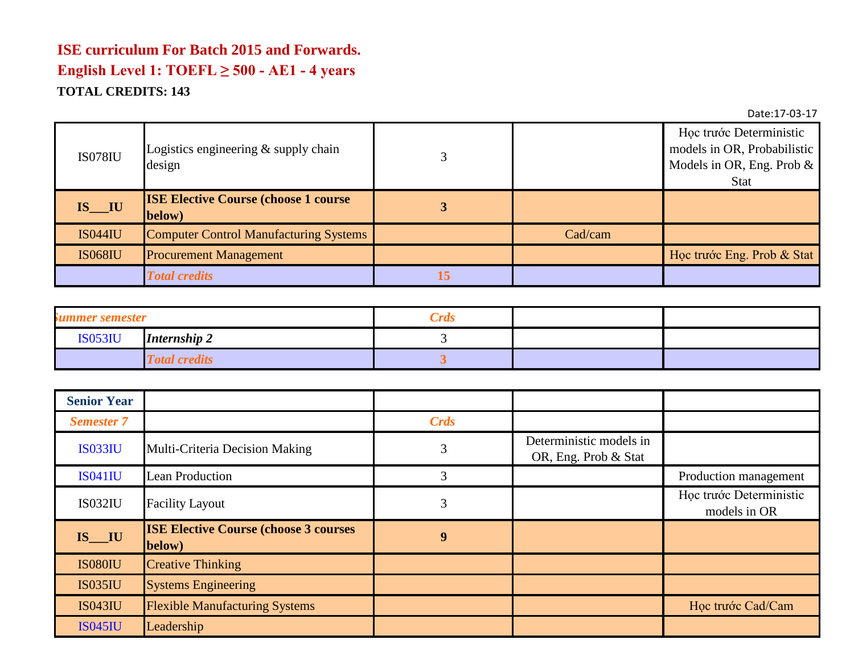| <b>IS078IU</b> | Logistics engineering $&$ supply chain<br>design       |    |         | Học trước Deterministic<br>models in OR, Probabilistic<br>Models in OR, Eng. Prob $\&$<br>Stat |
|----------------|--------------------------------------------------------|----|---------|------------------------------------------------------------------------------------------------|
| $IS$ $IU$      | <b>ISE Elective Course (choose 1 course)</b><br>below) |    |         |                                                                                                |
| <b>IS044IU</b> | <b>Computer Control Manufacturing Systems</b>          |    | Cad/cam |                                                                                                |
| <b>IS068IU</b> | <b>Procurement Management</b>                          |    |         | Học trước Eng. Prob & Stat                                                                     |
|                | <b>Total credits</b>                                   | L5 |         |                                                                                                |

| summer semester |                      | <b>Crds</b> |  |
|-----------------|----------------------|-------------|--|
| <b>IS053IU</b>  | <b>Internship 2</b>  |             |  |
|                 | <b>Total credits</b> |             |  |

| <b>Senior Year</b>      |                                                         |             |                                                 |                                         |
|-------------------------|---------------------------------------------------------|-------------|-------------------------------------------------|-----------------------------------------|
| <b>Semester 7</b>       |                                                         | <b>Crds</b> |                                                 |                                         |
| <b>IS033IU</b>          | Multi-Criteria Decision Making                          | 3           | Deterministic models in<br>OR, Eng. Prob & Stat |                                         |
| <b>IS041IU</b>          | <b>Lean Production</b>                                  | 3           |                                                 | Production management                   |
| <b>IS032IU</b>          | <b>Facility Layout</b>                                  | 3           |                                                 | Học trước Deterministic<br>models in OR |
| $IS$ <sub>IS</sub> $IU$ | <b>ISE Elective Course (choose 3 courses)</b><br>below) | 9           |                                                 |                                         |
| <b>IS080IU</b>          | <b>Creative Thinking</b>                                |             |                                                 |                                         |
| <b>IS035IU</b>          | <b>Systems Engineering</b>                              |             |                                                 |                                         |
| <b>IS043IU</b>          | <b>Flexible Manufacturing Systems</b>                   |             |                                                 | Học trước Cad/Cam                       |
| <b>IS045IU</b>          | Leadership                                              |             |                                                 |                                         |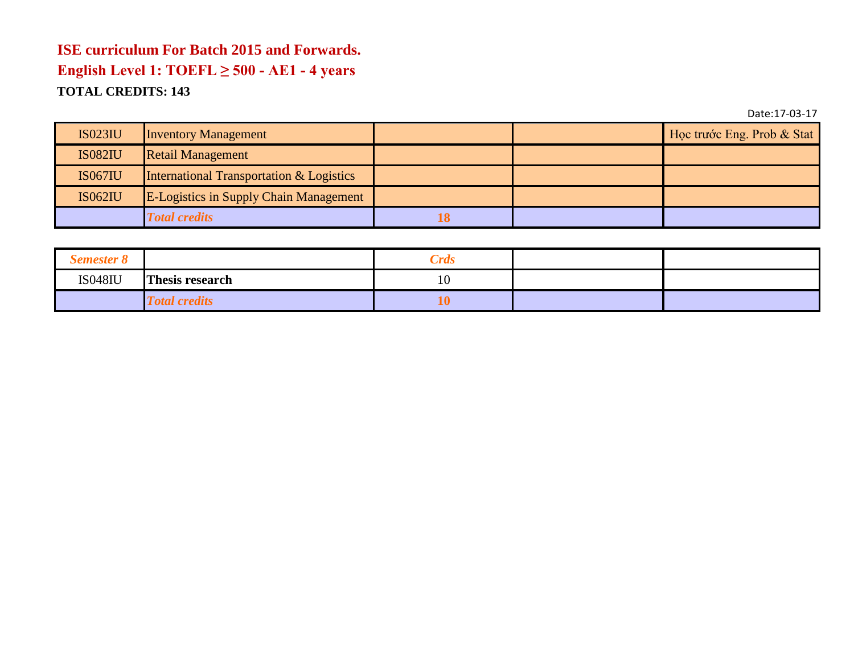| <b>IS023IU</b> | <b>Inventory Management</b>                   |    | Học trước Eng. Prob & Stat |
|----------------|-----------------------------------------------|----|----------------------------|
| <b>IS082IU</b> | <b>Retail Management</b>                      |    |                            |
| <b>IS067IU</b> | International Transportation & Logistics      |    |                            |
| <b>IS062IU</b> | <b>E-Logistics in Supply Chain Management</b> |    |                            |
|                | <b>Total credits</b>                          | 18 |                            |

| <b>Semester 8</b> |                        | <b>Crds</b> |  |
|-------------------|------------------------|-------------|--|
| <b>IS048IU</b>    | <b>Thesis research</b> | 10          |  |
|                   | <b>Total credits</b>   |             |  |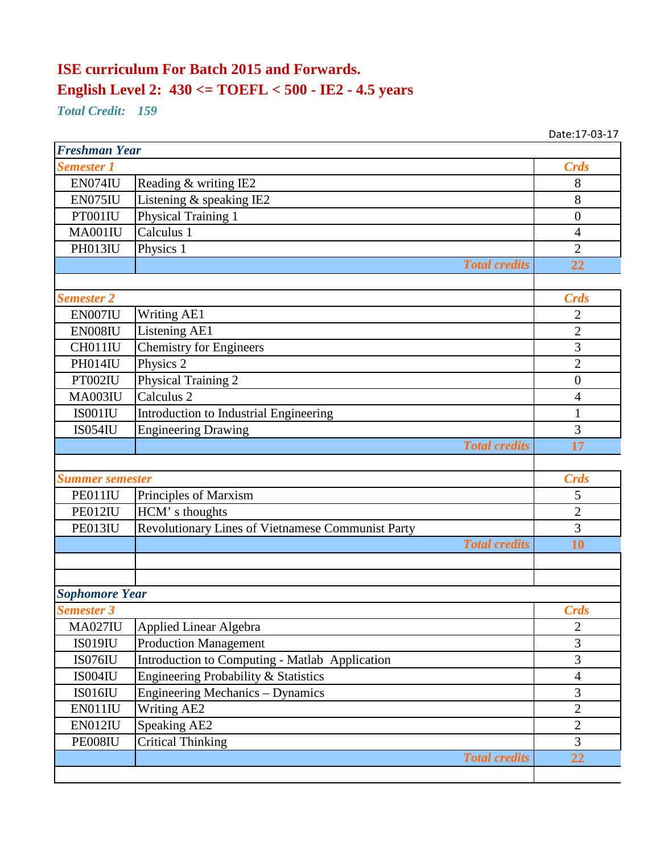## **ISE curriculum For Batch 2015 and Forwards. English Level 2: 430 <= TOEFL < 500 - IE2 - 4.5 years**

*Total Credit: 159*

| <b>Freshman Year</b>   |                                                   |                  |  |
|------------------------|---------------------------------------------------|------------------|--|
| <b>Semester 1</b>      |                                                   | <b>Crds</b>      |  |
| <b>EN074IU</b>         | Reading & writing IE2                             | 8                |  |
| EN075IU                | Listening & speaking IE2                          | 8                |  |
| PT001IU                | Physical Training 1                               | $\boldsymbol{0}$ |  |
| MA001IU                | Calculus 1                                        | $\overline{4}$   |  |
| PH013IU                | Physics 1                                         | $\overline{2}$   |  |
|                        | <b>Total credits</b>                              | 22               |  |
|                        |                                                   |                  |  |
| <b>Semester 2</b>      |                                                   | <b>Crds</b>      |  |
| EN007IU                | <b>Writing AE1</b>                                | 2                |  |
| EN008IU                | Listening AE1                                     | $\overline{c}$   |  |
| CH011IU                | <b>Chemistry for Engineers</b>                    | 3                |  |
| PH014IU                | Physics 2                                         | $\overline{2}$   |  |
| PT002IU                | Physical Training 2                               | $\theta$         |  |
| MA003IU                | Calculus <sub>2</sub>                             | $\overline{4}$   |  |
| IS001IU                | Introduction to Industrial Engineering            | $\mathbf{1}$     |  |
| <b>IS054IU</b>         | <b>Engineering Drawing</b>                        | 3                |  |
|                        | <b>Total credits</b>                              | 17               |  |
|                        |                                                   |                  |  |
| <b>Summer semester</b> |                                                   | <b>Crds</b>      |  |
| PE011IU                | Principles of Marxism                             | 5                |  |
| PE012IU                | HCM's thoughts                                    | $\overline{2}$   |  |
| PE013IU                | Revolutionary Lines of Vietnamese Communist Party | 3                |  |
|                        | <b>Total credits</b>                              | 10               |  |
|                        |                                                   |                  |  |
|                        |                                                   |                  |  |
| <b>Sophomore Year</b>  |                                                   |                  |  |
| <b>Semester 3</b>      |                                                   | <b>Crds</b>      |  |
| <b>MA027IU</b>         | Applied Linear Algebra                            | $\overline{2}$   |  |
| <b>IS019IU</b>         | <b>Production Management</b>                      | 3                |  |
| IS076IU                | Introduction to Computing - Matlab Application    | 3                |  |
| IS004IU                | Engineering Probability & Statistics              | $\overline{4}$   |  |
| IS016IU                | Engineering Mechanics - Dynamics                  | 3                |  |
| EN011IU                | <b>Writing AE2</b>                                | $\overline{2}$   |  |
| EN012IU                | Speaking AE2                                      | $\sqrt{2}$       |  |
| PE008IU                | <b>Critical Thinking</b>                          | 3                |  |
|                        | <b>Total credits</b>                              | 22               |  |
|                        |                                                   |                  |  |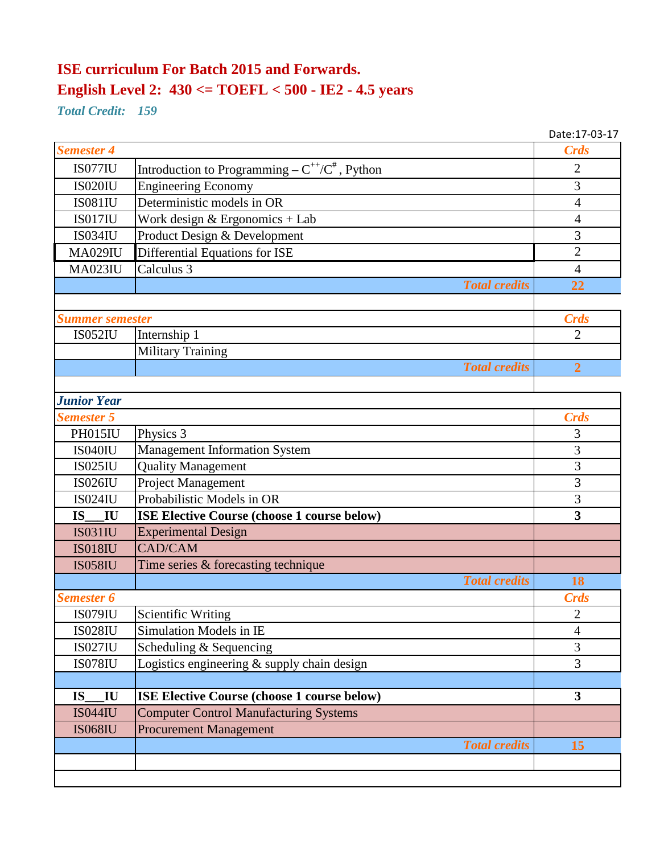## **ISE curriculum For Batch 2015 and Forwards. English Level 2: 430 <= TOEFL < 500 - IE2 - 4.5 years**

*Total Credit: 159*

|                                      |                                                        | Date:17-03-17           |
|--------------------------------------|--------------------------------------------------------|-------------------------|
| <b>Semester 4</b>                    |                                                        | <b>Crds</b>             |
| IS077IU                              | Introduction to Programming – $C^{++}/C^{\#}$ , Python | $\overline{2}$          |
| <b>IS020IU</b>                       | <b>Engineering Economy</b>                             | 3                       |
| <b>IS081IU</b>                       | Deterministic models in OR                             | $\overline{4}$          |
| IS017IU                              | Work design & Ergonomics + Lab                         | 4                       |
| <b>IS034IU</b>                       | Product Design & Development                           | 3                       |
| <b>MA029IU</b>                       | Differential Equations for ISE                         | $\overline{2}$          |
| <b>MA023IU</b>                       | Calculus 3                                             | $\overline{4}$          |
|                                      | <b>Total credits</b>                                   | 22                      |
|                                      |                                                        |                         |
| <b>Summer semester</b>               |                                                        | <b>Crds</b>             |
| <b>IS052IU</b>                       | Internship 1                                           | $\overline{2}$          |
|                                      | <b>Military Training</b>                               |                         |
|                                      | <b>Total credits</b>                                   | $\overline{2}$          |
|                                      |                                                        |                         |
| <b>Junior Year</b>                   |                                                        |                         |
| <b>Semester 5</b>                    |                                                        | <b>Crds</b>             |
| <b>PH015IU</b>                       | Physics 3                                              | 3                       |
| <b>IS040IU</b>                       | <b>Management Information System</b>                   | 3                       |
| <b>IS025IU</b>                       | <b>Quality Management</b>                              | 3                       |
| <b>IS026IU</b>                       | Project Management                                     | 3                       |
| <b>IS024IU</b>                       | Probabilistic Models in OR                             | 3                       |
| <b>IS</b><br>IU                      | ISE Elective Course (choose 1 course below)            | $\overline{\mathbf{3}}$ |
| <b>IS031IU</b>                       | <b>Experimental Design</b>                             |                         |
| <b>IS018IU</b>                       | CAD/CAM                                                |                         |
| <b>IS058IU</b>                       | Time series & forecasting technique                    |                         |
|                                      | <b>Total credits</b>                                   | 18                      |
| <b>Semester 6</b>                    |                                                        | <b>Crds</b>             |
| IS079IU                              | Scientific Writing                                     | $\overline{2}$          |
| <b>IS028IU</b>                       | <b>Simulation Models in IE</b>                         | 4                       |
| <b>IS027IU</b>                       | Scheduling & Sequencing                                | 3                       |
| <b>IS078IU</b>                       | Logistics engineering & supply chain design            | 3                       |
|                                      |                                                        |                         |
| $\mathbf{I} \mathbf{U}$<br><b>IS</b> | <b>ISE Elective Course (choose 1 course below)</b>     | $\overline{\mathbf{3}}$ |
| <b>IS044IU</b>                       | <b>Computer Control Manufacturing Systems</b>          |                         |
| <b>IS068IU</b>                       | <b>Procurement Management</b>                          |                         |
|                                      | <b>Total credits</b>                                   | 15                      |
|                                      |                                                        |                         |
|                                      |                                                        |                         |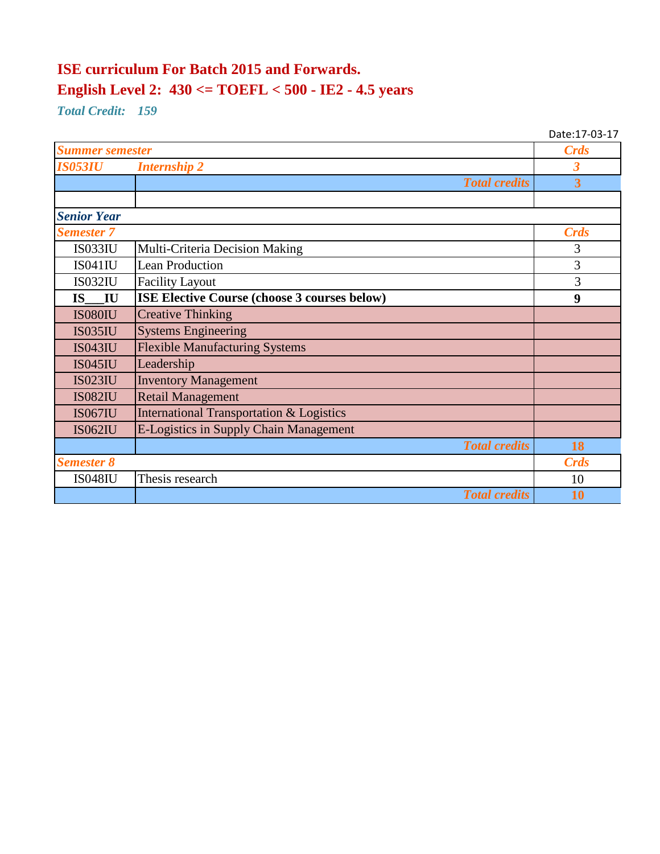## **ISE curriculum For Batch 2015 and Forwards. English Level 2: 430 <= TOEFL < 500 - IE2 - 4.5 years**

*Total Credit: 159*

|                        |                                                     | Date:17-03-17  |
|------------------------|-----------------------------------------------------|----------------|
| <b>Summer semester</b> |                                                     | <b>Crds</b>    |
| <b>IS053IU</b>         | <b>Internship 2</b>                                 | 3              |
|                        | <b>Total credits</b>                                | $\overline{3}$ |
|                        |                                                     |                |
| <b>Senior Year</b>     |                                                     |                |
| <b>Semester 7</b>      |                                                     | <b>Crds</b>    |
| <b>IS033IU</b>         | Multi-Criteria Decision Making                      | 3              |
| <b>IS041IU</b>         | <b>Lean Production</b>                              | 3              |
| <b>IS032IU</b>         | <b>Facility Layout</b>                              | 3              |
| IU<br><b>IS</b>        | ISE Elective Course (choose 3 courses below)        | 9              |
| <b>IS080IU</b>         | <b>Creative Thinking</b>                            |                |
| <b>IS035IU</b>         | <b>Systems Engineering</b>                          |                |
| <b>IS043IU</b>         | <b>Flexible Manufacturing Systems</b>               |                |
| <b>IS045IU</b>         | Leadership                                          |                |
| <b>IS023IU</b>         | <b>Inventory Management</b>                         |                |
| <b>IS082IU</b>         | <b>Retail Management</b>                            |                |
| <b>IS067IU</b>         | <b>International Transportation &amp; Logistics</b> |                |
| <b>IS062IU</b>         | <b>E-Logistics in Supply Chain Management</b>       |                |
|                        | <b>Total credits</b>                                | 18             |
| <b>Semester 8</b>      |                                                     | <b>Crds</b>    |
| <b>IS048IU</b>         | Thesis research                                     | 10             |
|                        | <b>Total credits</b>                                | 10             |
|                        |                                                     |                |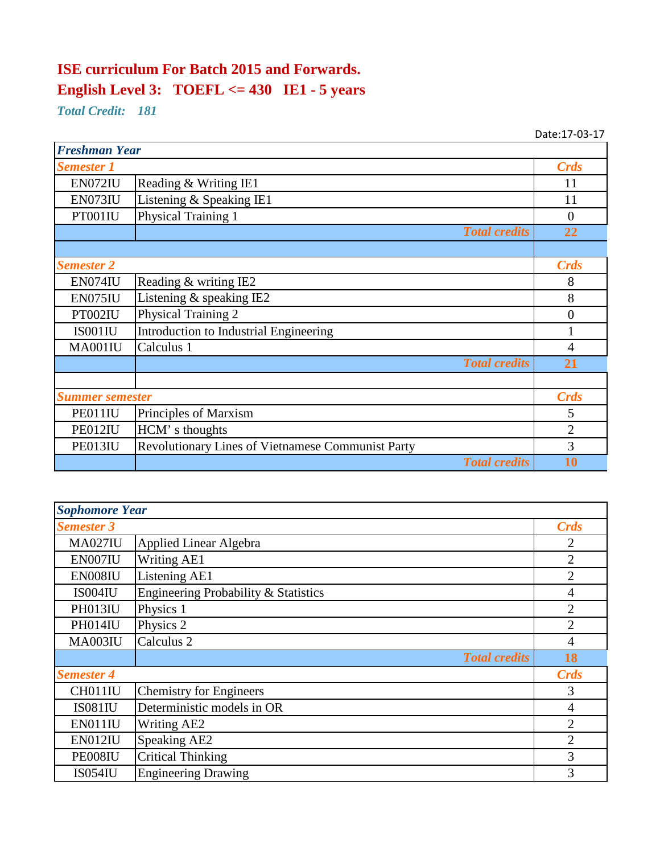# **ISE curriculum For Batch 2015 and Forwards. English Level 3: TOEFL <= 430 IE1 - 5 years**

*Total Credit: 181*

| <b>Freshman Year</b>   |                                                          |                |
|------------------------|----------------------------------------------------------|----------------|
| <b>Semester 1</b>      |                                                          | <b>Crds</b>    |
| EN072IU                | Reading & Writing IE1                                    | 11             |
| EN073IU                | Listening & Speaking IE1                                 | 11             |
| PT001IU                | Physical Training 1                                      | $\overline{0}$ |
|                        | <b>Total credits</b>                                     | 22             |
|                        |                                                          |                |
| <b>Semester 2</b>      |                                                          | <b>Crds</b>    |
| EN074IU                | Reading & writing IE2                                    | 8              |
| EN075IU                | Listening & speaking IE2                                 | 8              |
| PT002IU                | Physical Training 2                                      | $\overline{0}$ |
| IS001IU                | Introduction to Industrial Engineering                   |                |
| MA001IU                | Calculus 1                                               | $\overline{4}$ |
|                        | <b>Total credits</b>                                     | 21             |
|                        |                                                          |                |
| <b>Summer semester</b> |                                                          | <b>Crds</b>    |
| PE011IU                | Principles of Marxism                                    | 5              |
| PE012IU                | HCM's thoughts                                           | $\overline{2}$ |
| PE013IU                | <b>Revolutionary Lines of Vietnamese Communist Party</b> | 3              |
|                        | <b>Total credits</b>                                     | 10             |

| <b>Sophomore Year</b> |                                      |                |
|-----------------------|--------------------------------------|----------------|
| <b>Semester 3</b>     |                                      | <b>Crds</b>    |
| <b>MA027IU</b>        | Applied Linear Algebra               | 2              |
| EN007IU               | <b>Writing AE1</b>                   | $\overline{2}$ |
| EN008IU               | Listening AE1                        | $\overline{2}$ |
| IS004IU               | Engineering Probability & Statistics | 4              |
| PH013IU               | Physics 1                            | $\overline{2}$ |
| PH014IU               | Physics 2                            | $\overline{2}$ |
| <b>MA003IU</b>        | Calculus <sub>2</sub>                | $\overline{4}$ |
|                       | <b>Total credits</b>                 | 18             |
| <b>Semester 4</b>     |                                      | <b>Crds</b>    |
| CH011IU               | Chemistry for Engineers              | 3              |
| <b>IS081IU</b>        | Deterministic models in OR           | $\overline{4}$ |
| EN011IU               | <b>Writing AE2</b>                   | $\overline{2}$ |
| EN012IU               | Speaking AE2                         | $\overline{2}$ |
| PE008IU               | <b>Critical Thinking</b>             | $\overline{3}$ |
| <b>IS054IU</b>        | <b>Engineering Drawing</b>           | 3              |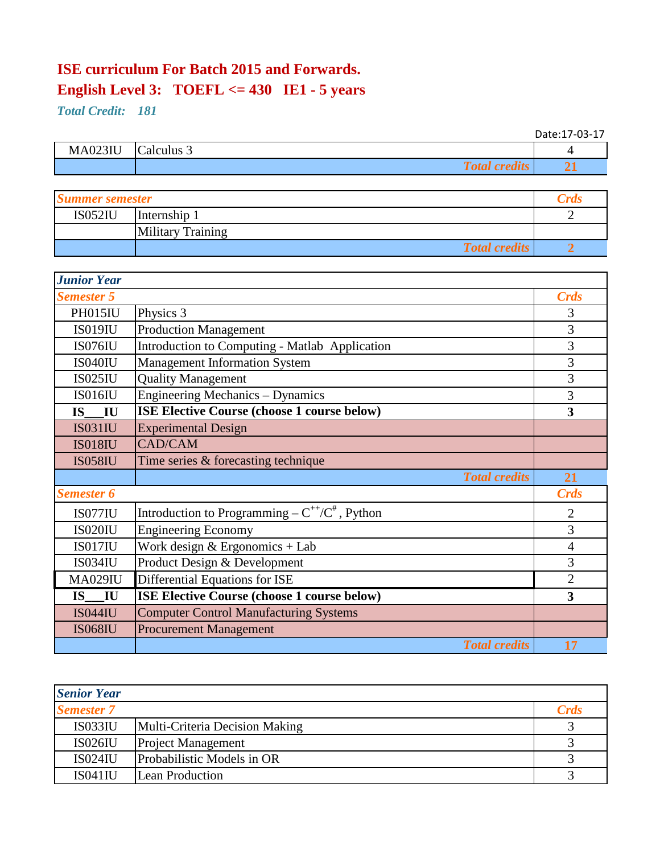# **ISE curriculum For Batch 2015 and Forwards. English Level 3: TOEFL <= 430 IE1 - 5 years**

*Total Credit: 181*

|                |                      | Date:17-03-17 |
|----------------|----------------------|---------------|
| <b>MA023IU</b> | Calculus 3           |               |
|                | <b>Total credits</b> |               |

| <b>Summer semester</b> |                          | .rd |
|------------------------|--------------------------|-----|
| <b>IS052IU</b>         | Internship 1             |     |
|                        | <b>Military Training</b> |     |
|                        | <b>Total credits</b>     |     |

| <b>Junior Year</b> |                                                        |                |
|--------------------|--------------------------------------------------------|----------------|
| <b>Semester 5</b>  |                                                        | <b>Crds</b>    |
| PH015IU            | Physics 3                                              | 3              |
| <b>IS019IU</b>     | <b>Production Management</b>                           | 3              |
| IS076IU            | Introduction to Computing - Matlab Application         | 3              |
| IS040IU            | <b>Management Information System</b>                   | 3              |
| <b>IS025IU</b>     | <b>Quality Management</b>                              | 3              |
| IS016IU            | Engineering Mechanics – Dynamics                       | 3              |
| IU<br><b>IS</b>    | ISE Elective Course (choose 1 course below)            | 3              |
| <b>IS031IU</b>     | <b>Experimental Design</b>                             |                |
| <b>IS018IU</b>     | <b>CAD/CAM</b>                                         |                |
| <b>IS058IU</b>     | Time series & forecasting technique                    |                |
|                    | <b>Total credits</b>                                   | 21             |
| <b>Semester 6</b>  |                                                        | <b>Crds</b>    |
| <b>IS077IU</b>     | Introduction to Programming – $C^{++}/C^{\#}$ , Python | $\overline{2}$ |
| <b>IS020IU</b>     | <b>Engineering Economy</b>                             | 3              |
| <b>IS017IU</b>     | Work design $&$ Ergonomics + Lab                       | 4              |
| <b>IS034IU</b>     | Product Design & Development                           | 3              |
| <b>MA029IU</b>     | Differential Equations for ISE                         | $\overline{2}$ |
| <b>IS</b><br>IU    | <b>ISE Elective Course (choose 1 course below)</b>     | 3              |
| <b>IS044IU</b>     | <b>Computer Control Manufacturing Systems</b>          |                |
| <b>IS068IU</b>     | <b>Procurement Management</b>                          |                |
|                    | <b>Total credits</b>                                   | 17             |

| <b>Senior Year</b> |                                |             |
|--------------------|--------------------------------|-------------|
| <b>Semester 7</b>  |                                | <b>Crds</b> |
| IS033IU            | Multi-Criteria Decision Making |             |
| <b>IS026IU</b>     | <b>Project Management</b>      |             |
| <b>IS024IU</b>     | Probabilistic Models in OR     |             |
| <b>IS041IU</b>     | <b>Lean Production</b>         |             |